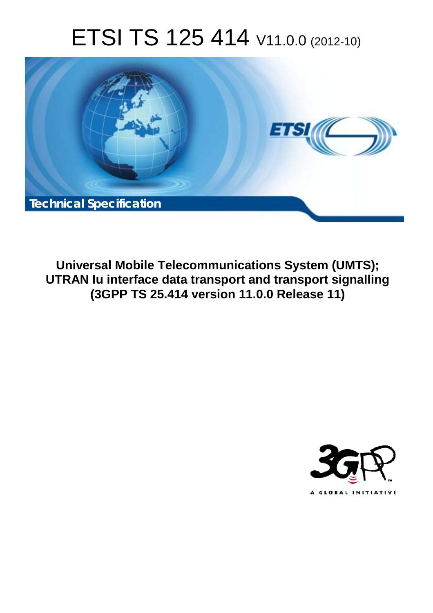# ETSI TS 125 414 V11.0.0 (2012-10)



**Universal Mobile Telecommunications System (UMTS); UTRAN Iu interface data transport and transport signalling (3GPP TS 25.414 version 11.0.0 Release 11)** 

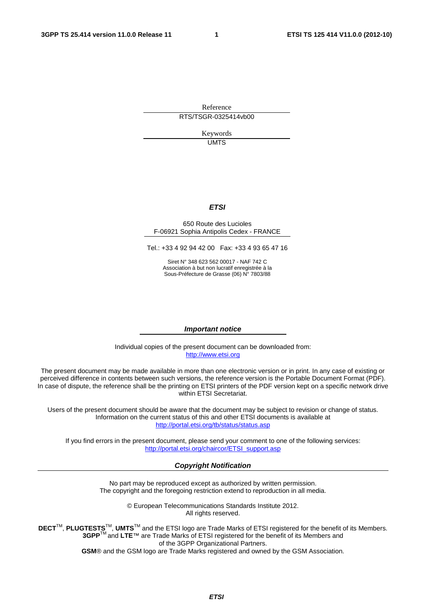Reference RTS/TSGR-0325414vb00

> Keywords UMTS

#### *ETSI*

#### 650 Route des Lucioles F-06921 Sophia Antipolis Cedex - FRANCE

Tel.: +33 4 92 94 42 00 Fax: +33 4 93 65 47 16

Siret N° 348 623 562 00017 - NAF 742 C Association à but non lucratif enregistrée à la Sous-Préfecture de Grasse (06) N° 7803/88

#### *Important notice*

Individual copies of the present document can be downloaded from: [http://www.etsi.org](http://www.etsi.org/)

The present document may be made available in more than one electronic version or in print. In any case of existing or perceived difference in contents between such versions, the reference version is the Portable Document Format (PDF). In case of dispute, the reference shall be the printing on ETSI printers of the PDF version kept on a specific network drive within ETSI Secretariat.

Users of the present document should be aware that the document may be subject to revision or change of status. Information on the current status of this and other ETSI documents is available at <http://portal.etsi.org/tb/status/status.asp>

If you find errors in the present document, please send your comment to one of the following services: [http://portal.etsi.org/chaircor/ETSI\\_support.asp](http://portal.etsi.org/chaircor/ETSI_support.asp)

#### *Copyright Notification*

No part may be reproduced except as authorized by written permission. The copyright and the foregoing restriction extend to reproduction in all media.

> © European Telecommunications Standards Institute 2012. All rights reserved.

DECT<sup>™</sup>, PLUGTESTS<sup>™</sup>, UMTS<sup>™</sup> and the ETSI logo are Trade Marks of ETSI registered for the benefit of its Members. **3GPP**TM and **LTE**™ are Trade Marks of ETSI registered for the benefit of its Members and of the 3GPP Organizational Partners.

**GSM**® and the GSM logo are Trade Marks registered and owned by the GSM Association.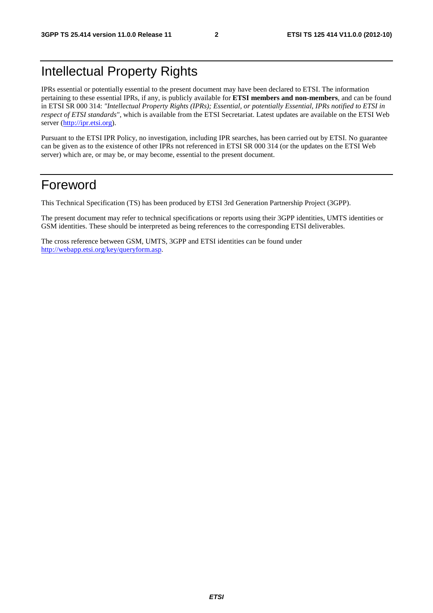# Intellectual Property Rights

IPRs essential or potentially essential to the present document may have been declared to ETSI. The information pertaining to these essential IPRs, if any, is publicly available for **ETSI members and non-members**, and can be found in ETSI SR 000 314: *"Intellectual Property Rights (IPRs); Essential, or potentially Essential, IPRs notified to ETSI in respect of ETSI standards"*, which is available from the ETSI Secretariat. Latest updates are available on the ETSI Web server [\(http://ipr.etsi.org](http://webapp.etsi.org/IPR/home.asp)).

Pursuant to the ETSI IPR Policy, no investigation, including IPR searches, has been carried out by ETSI. No guarantee can be given as to the existence of other IPRs not referenced in ETSI SR 000 314 (or the updates on the ETSI Web server) which are, or may be, or may become, essential to the present document.

# Foreword

This Technical Specification (TS) has been produced by ETSI 3rd Generation Partnership Project (3GPP).

The present document may refer to technical specifications or reports using their 3GPP identities, UMTS identities or GSM identities. These should be interpreted as being references to the corresponding ETSI deliverables.

The cross reference between GSM, UMTS, 3GPP and ETSI identities can be found under [http://webapp.etsi.org/key/queryform.asp.](http://webapp.etsi.org/key/queryform.asp)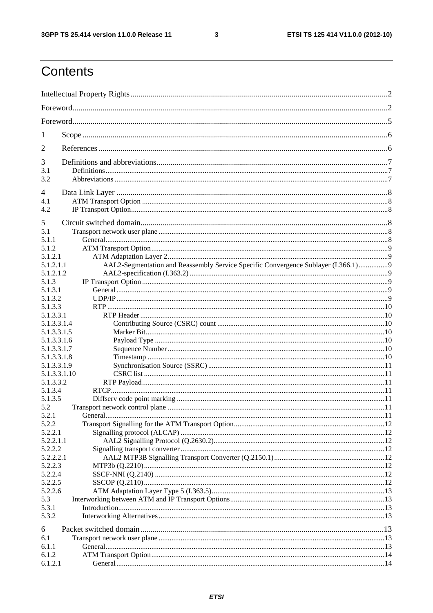$\mathbf{3}$ 

# Contents

| 1                  |                                                                                   |  |  |
|--------------------|-----------------------------------------------------------------------------------|--|--|
| 2                  |                                                                                   |  |  |
| 3                  |                                                                                   |  |  |
| 3.1<br>3.2         |                                                                                   |  |  |
| 4                  |                                                                                   |  |  |
| 4.1                |                                                                                   |  |  |
| 4.2                |                                                                                   |  |  |
|                    |                                                                                   |  |  |
| 5                  |                                                                                   |  |  |
| 5.1<br>5.1.1       |                                                                                   |  |  |
| 5.1.2              |                                                                                   |  |  |
| 5.1.2.1            |                                                                                   |  |  |
| 5.1.2.1.1          | AAL2-Segmentation and Reassembly Service Specific Convergence Sublayer (I.366.1)9 |  |  |
| 5.1.2.1.2          |                                                                                   |  |  |
| 5.1.3              |                                                                                   |  |  |
| 5.1.3.1            |                                                                                   |  |  |
| 5.1.3.2            |                                                                                   |  |  |
| 5.1.3.3            |                                                                                   |  |  |
| 5.1.3.3.1          |                                                                                   |  |  |
| 5.1.3.3.1.4        |                                                                                   |  |  |
| 5.1.3.3.1.5        |                                                                                   |  |  |
| 5.1.3.3.1.6        |                                                                                   |  |  |
| 5.1.3.3.1.7        |                                                                                   |  |  |
| 5.1.3.3.1.8        |                                                                                   |  |  |
| 5.1.3.3.1.9        |                                                                                   |  |  |
| 5.1.3.3.1.10       |                                                                                   |  |  |
| 5.1.3.3.2          |                                                                                   |  |  |
| 5.1.3.4<br>5.1.3.5 |                                                                                   |  |  |
| 5.2                |                                                                                   |  |  |
| 5.2.1              |                                                                                   |  |  |
| 5.2.2              |                                                                                   |  |  |
| 5.2.2.1            |                                                                                   |  |  |
| 5.2.2.1.1          |                                                                                   |  |  |
| 5.2.2.2            |                                                                                   |  |  |
| 5.2.2.2.1          |                                                                                   |  |  |
| 5.2.2.3            |                                                                                   |  |  |
| 5.2.2.4            |                                                                                   |  |  |
| 5.2.2.5            |                                                                                   |  |  |
| 5.2.2.6            |                                                                                   |  |  |
| 5.3                |                                                                                   |  |  |
| 5.3.1              |                                                                                   |  |  |
| 5.3.2              |                                                                                   |  |  |
| 6                  |                                                                                   |  |  |
| 6.1                |                                                                                   |  |  |
| 6.1.1              |                                                                                   |  |  |
| 6.1.2              |                                                                                   |  |  |
| 6.1.2.1            |                                                                                   |  |  |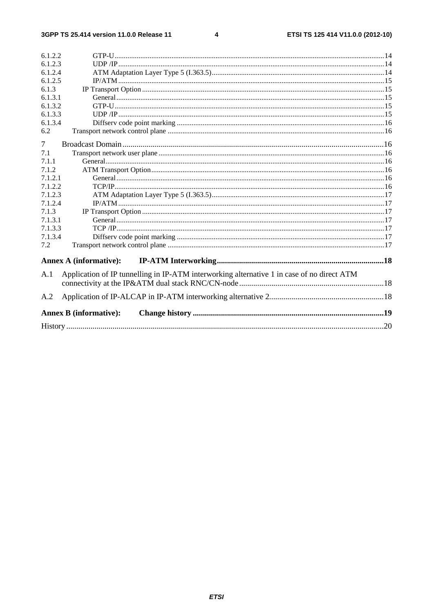#### $\overline{\mathbf{4}}$

| 6.1.2.2 |                                                                                            |  |
|---------|--------------------------------------------------------------------------------------------|--|
| 6.1.2.3 |                                                                                            |  |
| 6.1.2.4 |                                                                                            |  |
| 6.1.2.5 |                                                                                            |  |
| 6.1.3   |                                                                                            |  |
| 6.1.3.1 |                                                                                            |  |
| 6.1.3.2 |                                                                                            |  |
| 6.1.3.3 |                                                                                            |  |
| 6.1.3.4 |                                                                                            |  |
| 6.2     |                                                                                            |  |
| 7       |                                                                                            |  |
| 7.1     |                                                                                            |  |
| 7.1.1   |                                                                                            |  |
| 7.1.2   |                                                                                            |  |
| 7.1.2.1 |                                                                                            |  |
| 7.1.2.2 |                                                                                            |  |
| 7.1.2.3 |                                                                                            |  |
| 7.1.2.4 |                                                                                            |  |
| 7.1.3   |                                                                                            |  |
| 7.1.3.1 |                                                                                            |  |
| 7.1.3.3 |                                                                                            |  |
| 7.1.3.4 |                                                                                            |  |
| 7.2     |                                                                                            |  |
|         | <b>Annex A (informative):</b>                                                              |  |
| A.1     | Application of IP tunnelling in IP-ATM interworking alternative 1 in case of no direct ATM |  |
|         |                                                                                            |  |
| A.2     |                                                                                            |  |
|         | <b>Annex B</b> (informative):                                                              |  |
|         |                                                                                            |  |
|         |                                                                                            |  |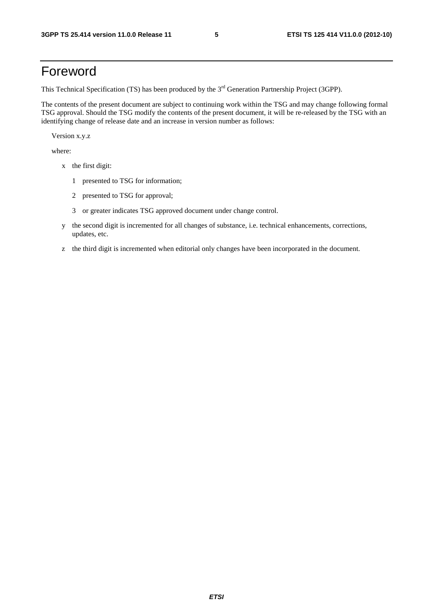# Foreword

This Technical Specification (TS) has been produced by the 3<sup>rd</sup> Generation Partnership Project (3GPP).

The contents of the present document are subject to continuing work within the TSG and may change following formal TSG approval. Should the TSG modify the contents of the present document, it will be re-released by the TSG with an identifying change of release date and an increase in version number as follows:

Version x.y.z

where:

- x the first digit:
	- 1 presented to TSG for information;
	- 2 presented to TSG for approval;
	- 3 or greater indicates TSG approved document under change control.
- y the second digit is incremented for all changes of substance, i.e. technical enhancements, corrections, updates, etc.
- z the third digit is incremented when editorial only changes have been incorporated in the document.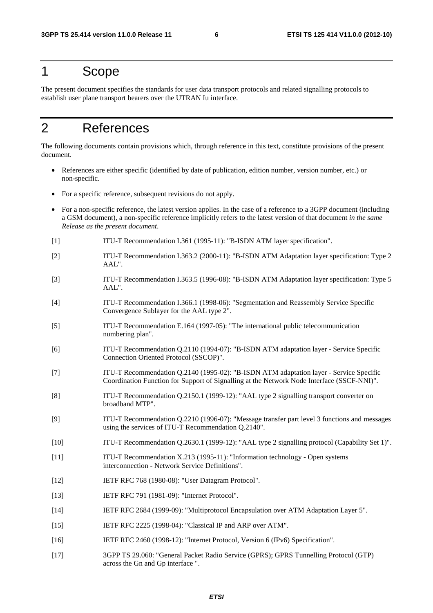# 1 Scope

The present document specifies the standards for user data transport protocols and related signalling protocols to establish user plane transport bearers over the UTRAN Iu interface.

# 2 References

The following documents contain provisions which, through reference in this text, constitute provisions of the present document.

- References are either specific (identified by date of publication, edition number, version number, etc.) or non-specific.
- For a specific reference, subsequent revisions do not apply.
- For a non-specific reference, the latest version applies. In the case of a reference to a 3GPP document (including a GSM document), a non-specific reference implicitly refers to the latest version of that document *in the same Release as the present document*.
- [1] ITU-T Recommendation I.361 (1995-11): "B-ISDN ATM layer specification".
- [2] ITU-T Recommendation I.363.2 (2000-11): "B-ISDN ATM Adaptation layer specification: Type 2 AAL".
- [3] ITU-T Recommendation I.363.5 (1996-08): "B-ISDN ATM Adaptation layer specification: Type 5 AAL".
- [4] ITU-T Recommendation I.366.1 (1998-06): "Segmentation and Reassembly Service Specific Convergence Sublayer for the AAL type 2".
- [5] ITU-T Recommendation E.164 (1997-05): "The international public telecommunication numbering plan".
- [6] ITU-T Recommendation Q.2110 (1994-07): "B-ISDN ATM adaptation layer Service Specific Connection Oriented Protocol (SSCOP)".
- [7] ITU-T Recommendation Q.2140 (1995-02): "B-ISDN ATM adaptation layer Service Specific Coordination Function for Support of Signalling at the Network Node Interface (SSCF-NNI)".
- [8] ITU-T Recommendation Q.2150.1 (1999-12): "AAL type 2 signalling transport converter on broadband MTP".
- [9] ITU-T Recommendation Q.2210 (1996-07): "Message transfer part level 3 functions and messages using the services of ITU-T Recommendation Q.2140".
- [10] ITU-T Recommendation Q.2630.1 (1999-12): "AAL type 2 signalling protocol (Capability Set 1)".
- [11] ITU-T Recommendation X.213 (1995-11): "Information technology Open systems interconnection - Network Service Definitions".
- [12] IETF RFC 768 (1980-08): "User Datagram Protocol".
- [13] **IETF RFC 791 (1981-09): "Internet Protocol".**
- [14] IETF RFC 2684 (1999-09): "Multiprotocol Encapsulation over ATM Adaptation Layer 5".
- [15] IETF RFC 2225 (1998-04): "Classical IP and ARP over ATM".
- [16] IETF RFC 2460 (1998-12): "Internet Protocol, Version 6 (IPv6) Specification".
- [17] 3GPP TS 29.060: "General Packet Radio Service (GPRS); GPRS Tunnelling Protocol (GTP) across the Gn and Gp interface ".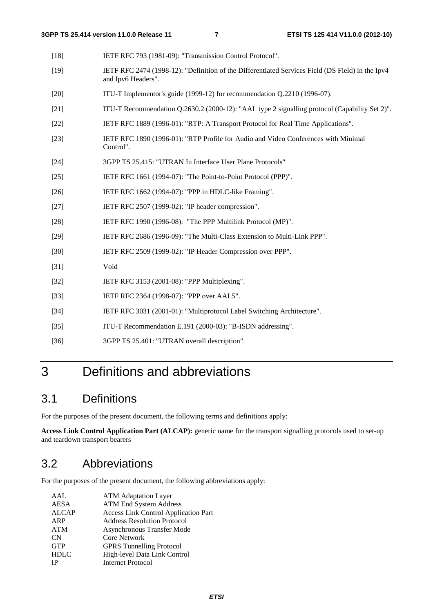| $[18]$ | IETF RFC 793 (1981-09): "Transmission Control Protocol".                                                               |
|--------|------------------------------------------------------------------------------------------------------------------------|
| $[19]$ | IETF RFC 2474 (1998-12): "Definition of the Differentiated Services Field (DS Field) in the Ipv4<br>and Ipv6 Headers". |
| $[20]$ | ITU-T Implementor's guide (1999-12) for recommendation Q.2210 (1996-07).                                               |
| $[21]$ | ITU-T Recommendation Q.2630.2 (2000-12): "AAL type 2 signalling protocol (Capability Set 2)".                          |
| $[22]$ | IETF RFC 1889 (1996-01): "RTP: A Transport Protocol for Real Time Applications".                                       |
| $[23]$ | IETF RFC 1890 (1996-01): "RTP Profile for Audio and Video Conferences with Minimal<br>Control".                        |
| $[24]$ | 3GPP TS 25.415: "UTRAN Iu Interface User Plane Protocols"                                                              |
| $[25]$ | IETF RFC 1661 (1994-07): "The Point-to-Point Protocol (PPP)".                                                          |
| $[26]$ | IETF RFC 1662 (1994-07): "PPP in HDLC-like Framing".                                                                   |
| $[27]$ | IETF RFC 2507 (1999-02): "IP header compression".                                                                      |
| $[28]$ | IETF RFC 1990 (1996-08): "The PPP Multilink Protocol (MP)".                                                            |
| $[29]$ | IETF RFC 2686 (1996-09): "The Multi-Class Extension to Multi-Link PPP".                                                |
| [30]   | IETF RFC 2509 (1999-02): "IP Header Compression over PPP".                                                             |
| $[31]$ | Void                                                                                                                   |
| $[32]$ | IETF RFC 3153 (2001-08): "PPP Multiplexing".                                                                           |
| $[33]$ | IETF RFC 2364 (1998-07): "PPP over AAL5".                                                                              |
| $[34]$ | IETF RFC 3031 (2001-01): "Multiprotocol Label Switching Architecture".                                                 |
| $[35]$ | ITU-T Recommendation E.191 (2000-03): "B-ISDN addressing".                                                             |
| $[36]$ | 3GPP TS 25.401: "UTRAN overall description".                                                                           |

# 3 Definitions and abbreviations

# 3.1 Definitions

For the purposes of the present document, the following terms and definitions apply:

**Access Link Control Application Part (ALCAP):** generic name for the transport signalling protocols used to set-up and teardown transport bearers

# 3.2 Abbreviations

For the purposes of the present document, the following abbreviations apply:

| AAL          | <b>ATM Adaptation Layer</b>                 |
|--------------|---------------------------------------------|
| <b>AESA</b>  | <b>ATM End System Address</b>               |
| <b>ALCAP</b> | <b>Access Link Control Application Part</b> |
| ARP          | <b>Address Resolution Protocol</b>          |
| <b>ATM</b>   | Asynchronous Transfer Mode                  |
| <b>CN</b>    | <b>Core Network</b>                         |
| <b>GTP</b>   | <b>GPRS</b> Tunnelling Protocol             |
| <b>HDLC</b>  | High-level Data Link Control                |
| <b>IP</b>    | <b>Internet Protocol</b>                    |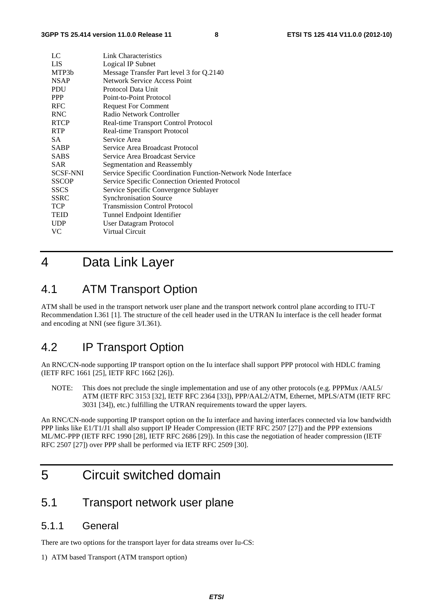| LC              | Link Characteristics                                          |
|-----------------|---------------------------------------------------------------|
| <b>LIS</b>      | Logical IP Subnet                                             |
| MTP3b           | Message Transfer Part level 3 for Q.2140                      |
| <b>NSAP</b>     | <b>Network Service Access Point</b>                           |
| <b>PDU</b>      | Protocol Data Unit                                            |
| <b>PPP</b>      | Point-to-Point Protocol                                       |
| <b>RFC</b>      | <b>Request For Comment</b>                                    |
| <b>RNC</b>      | Radio Network Controller                                      |
| <b>RTCP</b>     | Real-time Transport Control Protocol                          |
| <b>RTP</b>      | Real-time Transport Protocol                                  |
| SA.             | Service Area                                                  |
| <b>SABP</b>     | Service Area Broadcast Protocol                               |
| <b>SABS</b>     | Service Area Broadcast Service                                |
| <b>SAR</b>      | Segmentation and Reassembly                                   |
| <b>SCSF-NNI</b> | Service Specific Coordination Function-Network Node Interface |
| <b>SSCOP</b>    | Service Specific Connection Oriented Protocol                 |
| <b>SSCS</b>     | Service Specific Convergence Sublayer                         |
| <b>SSRC</b>     | <b>Synchronisation Source</b>                                 |
| <b>TCP</b>      | <b>Transmission Control Protocol</b>                          |
| <b>TEID</b>     | Tunnel Endpoint Identifier                                    |
| <b>UDP</b>      | User Datagram Protocol                                        |
| VC              | Virtual Circuit                                               |

# 4 Data Link Layer

### 4.1 ATM Transport Option

ATM shall be used in the transport network user plane and the transport network control plane according to ITU-T Recommendation I.361 [1]. The structure of the cell header used in the UTRAN Iu interface is the cell header format and encoding at NNI (see figure 3/I.361).

## 4.2 IP Transport Option

An RNC/CN-node supporting IP transport option on the Iu interface shall support PPP protocol with HDLC framing (IETF RFC 1661 [25], IETF RFC 1662 [26]).

NOTE: This does not preclude the single implementation and use of any other protocols (e.g. PPPMux /AAL5/ ATM (IETF RFC 3153 [32], IETF RFC 2364 [33]), PPP/AAL2/ATM, Ethernet, MPLS/ATM (IETF RFC 3031 [34]), etc.) fulfilling the UTRAN requirements toward the upper layers.

An RNC/CN-node supporting IP transport option on the Iu interface and having interfaces connected via low bandwidth PPP links like E1/T1/J1 shall also support IP Header Compression (IETF RFC 2507 [27]) and the PPP extensions ML/MC-PPP (IETF RFC 1990 [28], IETF RFC 2686 [29]). In this case the negotiation of header compression (IETF RFC 2507 [27]) over PPP shall be performed via IETF RFC 2509 [30].

# 5 Circuit switched domain

### 5.1 Transport network user plane

### 5.1.1 General

There are two options for the transport layer for data streams over Iu-CS:

#### 1) ATM based Transport (ATM transport option)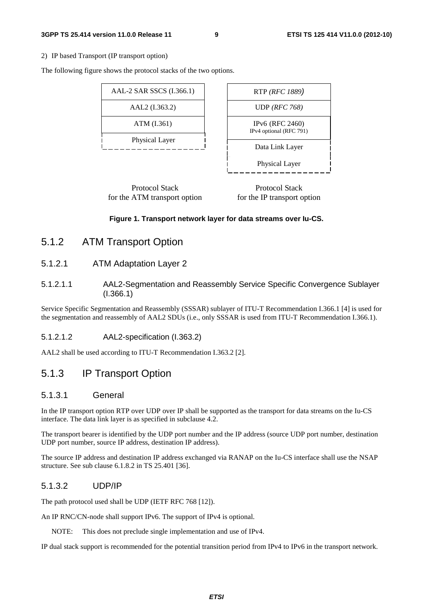#### **3GPP TS 25.414 version 11.0.0 Release 11 9 ETSI TS 125 414 V11.0.0 (2012-10)**

2) IP based Transport (IP transport option)

The following figure shows the protocol stacks of the two options.

| AAL-2 SAR SSCS (I.366.1) | RTP (RFC 1889)                                    |
|--------------------------|---------------------------------------------------|
| AAL2 (I.363.2)           | UDP ( $RFC 768$ )                                 |
| ATM (I.361)              | <b>IPv6</b> (RFC 2460)<br>IPv4 optional (RFC 791) |
| Physical Layer           | Data Link Layer                                   |
|                          | <b>Physical Layer</b>                             |

Protocol Stack for the ATM transport option

Protocol Stack for the IP transport option

#### **Figure 1. Transport network layer for data streams over Iu-CS.**

### 5.1.2 ATM Transport Option

#### 5.1.2.1 ATM Adaptation Layer 2

#### 5.1.2.1.1 AAL2-Segmentation and Reassembly Service Specific Convergence Sublayer (I.366.1)

Service Specific Segmentation and Reassembly (SSSAR) sublayer of ITU-T Recommendation I.366.1 [4] is used for the segmentation and reassembly of AAL2 SDUs (i.e., only SSSAR is used from ITU-T Recommendation I.366.1).

#### 5.1.2.1.2 AAL2-specification (I.363.2)

AAL2 shall be used according to ITU-T Recommendation I.363.2 [2].

### 5.1.3 IP Transport Option

#### 5.1.3.1 General

In the IP transport option RTP over UDP over IP shall be supported as the transport for data streams on the Iu-CS interface. The data link layer is as specified in subclause 4.2.

The transport bearer is identified by the UDP port number and the IP address (source UDP port number, destination UDP port number, source IP address, destination IP address).

The source IP address and destination IP address exchanged via RANAP on the Iu-CS interface shall use the NSAP structure. See sub clause 6.1.8.2 in TS 25.401 [36].

#### 5.1.3.2 UDP/IP

The path protocol used shall be UDP (IETF RFC 768 [12]).

An IP RNC/CN-node shall support IPv6. The support of IPv4 is optional.

NOTE: This does not preclude single implementation and use of IPv4.

IP dual stack support is recommended for the potential transition period from IPv4 to IPv6 in the transport network.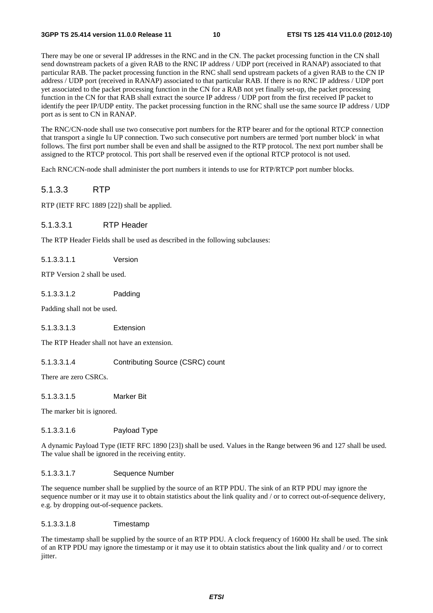There may be one or several IP addresses in the RNC and in the CN. The packet processing function in the CN shall send downstream packets of a given RAB to the RNC IP address / UDP port (received in RANAP) associated to that particular RAB. The packet processing function in the RNC shall send upstream packets of a given RAB to the CN IP address / UDP port (received in RANAP) associated to that particular RAB. If there is no RNC IP address / UDP port yet associated to the packet processing function in the CN for a RAB not yet finally set-up, the packet processing function in the CN for that RAB shall extract the source IP address / UDP port from the first received IP packet to identify the peer IP/UDP entity. The packet processing function in the RNC shall use the same source IP address / UDP port as is sent to CN in RANAP.

The RNC/CN-node shall use two consecutive port numbers for the RTP bearer and for the optional RTCP connection that transport a single Iu UP connection. Two such consecutive port numbers are termed 'port number block' in what follows. The first port number shall be even and shall be assigned to the RTP protocol. The next port number shall be assigned to the RTCP protocol. This port shall be reserved even if the optional RTCP protocol is not used.

Each RNC/CN-node shall administer the port numbers it intends to use for RTP/RTCP port number blocks.

#### 5.1.3.3 RTP

RTP (IETF RFC 1889 [22]) shall be applied.

#### 5.1.3.3.1 RTP Header

The RTP Header Fields shall be used as described in the following subclauses:

5.1.3.3.1.1 Version

RTP Version 2 shall be used.

5.1.3.3.1.2 Padding

Padding shall not be used.

5.1.3.3.1.3 Extension

The RTP Header shall not have an extension.

5.1.3.3.1.4 Contributing Source (CSRC) count

There are zero CSRCs.

5.1.3.3.1.5 Marker Bit

The marker bit is ignored.

#### 5.1.3.3.1.6 Payload Type

A dynamic Payload Type (IETF RFC 1890 [23]) shall be used. Values in the Range between 96 and 127 shall be used. The value shall be ignored in the receiving entity.

#### 5.1.3.3.1.7 Sequence Number

The sequence number shall be supplied by the source of an RTP PDU. The sink of an RTP PDU may ignore the sequence number or it may use it to obtain statistics about the link quality and / or to correct out-of-sequence delivery, e.g. by dropping out-of-sequence packets.

#### 5.1.3.3.1.8 Timestamp

The timestamp shall be supplied by the source of an RTP PDU. A clock frequency of 16000 Hz shall be used. The sink of an RTP PDU may ignore the timestamp or it may use it to obtain statistics about the link quality and / or to correct jitter.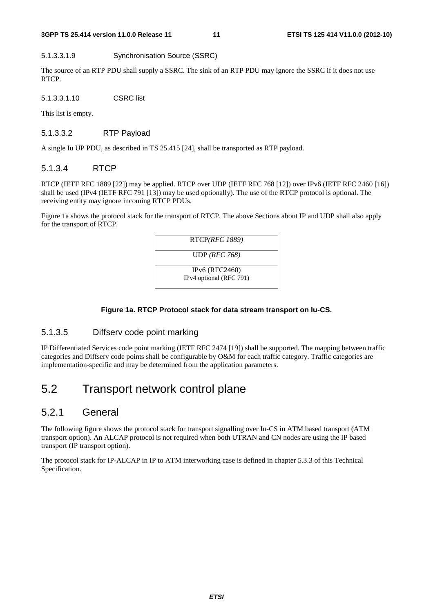5.1.3.3.1.9 Synchronisation Source (SSRC)

The source of an RTP PDU shall supply a SSRC. The sink of an RTP PDU may ignore the SSRC if it does not use RTCP.

5.1.3.3.1.10 CSRC list

This list is empty.

#### 5.1.3.3.2 RTP Payload

A single Iu UP PDU, as described in TS 25.415 [24], shall be transported as RTP payload.

#### 5.1.3.4 RTCP

RTCP (IETF RFC 1889 [22]) may be applied. RTCP over UDP (IETF RFC 768 [12]) over IPv6 (IETF RFC 2460 [16]) shall be used (IPv4 (IETF RFC 791 [13]) may be used optionally). The use of the RTCP protocol is optional. The receiving entity may ignore incoming RTCP PDUs.

Figure 1a shows the protocol stack for the transport of RTCP. The above Sections about IP and UDP shall also apply for the transport of RTCP.



#### **Figure 1a. RTCP Protocol stack for data stream transport on Iu-CS.**

#### 5.1.3.5 Diffserv code point marking

IP Differentiated Services code point marking (IETF RFC 2474 [19]) shall be supported. The mapping between traffic categories and Diffserv code points shall be configurable by O&M for each traffic category. Traffic categories are implementation-specific and may be determined from the application parameters.

# 5.2 Transport network control plane

### 5.2.1 General

The following figure shows the protocol stack for transport signalling over Iu-CS in ATM based transport (ATM transport option). An ALCAP protocol is not required when both UTRAN and CN nodes are using the IP based transport (IP transport option).

The protocol stack for IP-ALCAP in IP to ATM interworking case is defined in chapter 5.3.3 of this Technical Specification.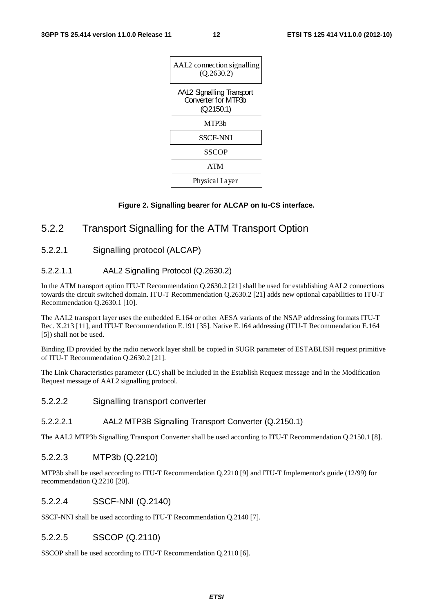| AAL2 connection signalling<br>(Q.2630.2)                             |
|----------------------------------------------------------------------|
| <b>AAL2 Signalling Transport</b><br>Converter for MTP3b<br>(Q2150.1) |
| MTP3b                                                                |
| SSCF-NNI                                                             |
| SSCOP                                                                |
| <b>ATM</b>                                                           |
| Physical Layer                                                       |

#### **Figure 2. Signalling bearer for ALCAP on Iu-CS interface.**

### 5.2.2 Transport Signalling for the ATM Transport Option

5.2.2.1 Signalling protocol (ALCAP)

#### 5.2.2.1.1 AAL2 Signalling Protocol (Q.2630.2)

In the ATM transport option ITU-T Recommendation Q.2630.2 [21] shall be used for establishing AAL2 connections towards the circuit switched domain. ITU-T Recommendation Q.2630.2 [21] adds new optional capabilities to ITU-T Recommendation Q.2630.1 [10].

The AAL2 transport layer uses the embedded E.164 or other AESA variants of the NSAP addressing formats ITU-T Rec. X.213 [11], and ITU-T Recommendation E.191 [35]. Native E.164 addressing (ITU-T Recommendation E.164 [5]) shall not be used.

Binding ID provided by the radio network layer shall be copied in SUGR parameter of ESTABLISH request primitive of ITU-T Recommendation Q.2630.2 [21].

The Link Characteristics parameter (LC) shall be included in the Establish Request message and in the Modification Request message of AAL2 signalling protocol.

5.2.2.2 Signalling transport converter

#### 5.2.2.2.1 AAL2 MTP3B Signalling Transport Converter (Q.2150.1)

The AAL2 MTP3b Signalling Transport Converter shall be used according to ITU-T Recommendation Q.2150.1 [8].

#### 5.2.2.3 MTP3b (Q.2210)

MTP3b shall be used according to ITU-T Recommendation Q.2210 [9] and ITU-T Implementor's guide (12/99) for recommendation Q.2210 [20].

#### 5.2.2.4 SSCF-NNI (Q.2140)

SSCF-NNI shall be used according to ITU-T Recommendation Q.2140 [7].

#### 5.2.2.5 SSCOP (Q.2110)

SSCOP shall be used according to ITU-T Recommendation Q.2110 [6].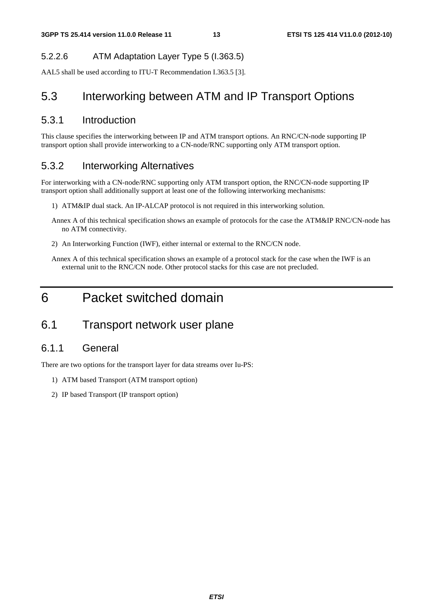### 5.2.2.6 ATM Adaptation Layer Type 5 (I.363.5)

AAL5 shall be used according to ITU-T Recommendation I.363.5 [3].

## 5.3 Interworking between ATM and IP Transport Options

### 5.3.1 Introduction

This clause specifies the interworking between IP and ATM transport options. An RNC/CN-node supporting IP transport option shall provide interworking to a CN-node/RNC supporting only ATM transport option.

### 5.3.2 Interworking Alternatives

For interworking with a CN-node/RNC supporting only ATM transport option, the RNC/CN-node supporting IP transport option shall additionally support at least one of the following interworking mechanisms:

- 1) ATM&IP dual stack. An IP-ALCAP protocol is not required in this interworking solution.
- Annex A of this technical specification shows an example of protocols for the case the ATM&IP RNC/CN-node has no ATM connectivity.
- 2) An Interworking Function (IWF), either internal or external to the RNC/CN node.
- Annex A of this technical specification shows an example of a protocol stack for the case when the IWF is an external unit to the RNC/CN node. Other protocol stacks for this case are not precluded.

# 6 Packet switched domain

## 6.1 Transport network user plane

### 6.1.1 General

There are two options for the transport layer for data streams over Iu-PS:

- 1) ATM based Transport (ATM transport option)
- 2) IP based Transport (IP transport option)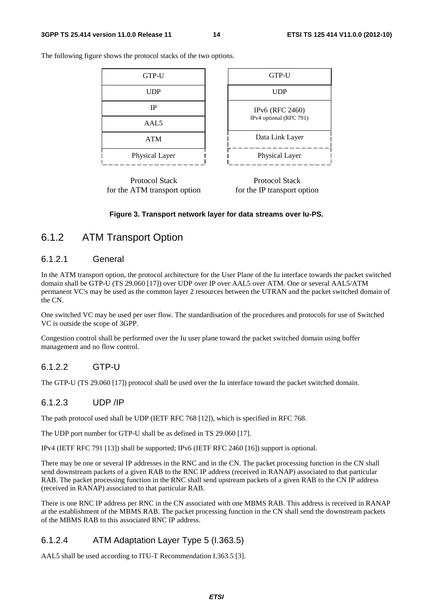| GTP-U          | GTP-U                   |
|----------------|-------------------------|
| <b>UDP</b>     | <b>UDP</b>              |
| <b>IP</b>      | <b>IPv6</b> (RFC 2460)  |
| AAL5           | IPv4 optional (RFC 791) |
| ATM            | Data Link Layer         |
| Physical Layer | Physical Layer          |

The following figure shows the protocol stacks of the two options.



Protocol Stack for the IP transport option

#### **Figure 3. Transport network layer for data streams over Iu-PS.**

### 6.1.2 ATM Transport Option

#### 6.1.2.1 General

In the ATM transport option, the protocol architecture for the User Plane of the Iu interface towards the packet switched domain shall be GTP-U (TS 29.060 [17]) over UDP over IP over AAL5 over ATM. One or several AAL5/ATM permanent VC's may be used as the common layer 2 resources between the UTRAN and the packet switched domain of the CN.

One switched VC may be used per user flow. The standardisation of the procedures and protocols for use of Switched VC is outside the scope of 3GPP.

Congestion control shall be performed over the Iu user plane toward the packet switched domain using buffer management and no flow control.

#### 6.1.2.2 GTP-U

The GTP-U (TS 29.060 [17]) protocol shall be used over the Iu interface toward the packet switched domain.

#### 6.1.2.3 UDP /IP

The path protocol used shall be UDP (IETF RFC 768 [12]), which is specified in RFC 768.

The UDP port number for GTP-U shall be as defined in TS 29.060 [17].

IPv4 (IETF RFC 791 [13]) shall be supported; IPv6 (IETF RFC 2460 [16]) support is optional.

There may be one or several IP addresses in the RNC and in the CN. The packet processing function in the CN shall send downstream packets of a given RAB to the RNC IP address (received in RANAP) associated to that particular RAB. The packet processing function in the RNC shall send upstream packets of a given RAB to the CN IP address (received in RANAP) associated to that particular RAB.

There is one RNC IP address per RNC in the CN associated with one MBMS RAB. This address is received in RANAP at the establishment of the MBMS RAB. The packet processing function in the CN shall send the downstream packets of the MBMS RAB to this associated RNC IP address.

#### 6.1.2.4 ATM Adaptation Layer Type 5 (I.363.5)

AAL5 shall be used according to ITU-T Recommendation I.363.5 [3].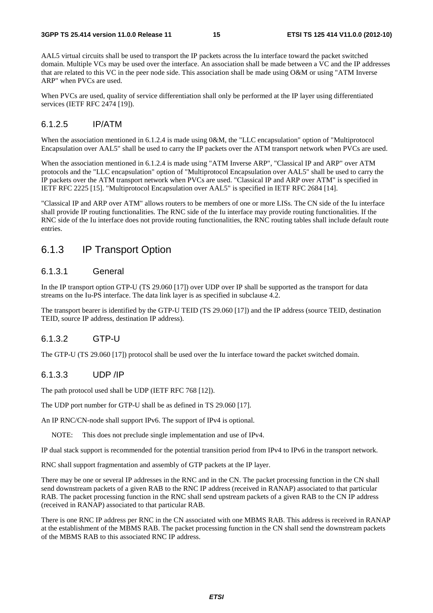AAL5 virtual circuits shall be used to transport the IP packets across the Iu interface toward the packet switched domain. Multiple VCs may be used over the interface. An association shall be made between a VC and the IP addresses that are related to this VC in the peer node side. This association shall be made using O&M or using "ATM Inverse ARP" when PVCs are used.

When PVCs are used, quality of service differentiation shall only be performed at the IP layer using differentiated services (IETF RFC 2474 [19]).

#### 6.1.2.5 IP/ATM

When the association mentioned in 6.1.2.4 is made using 0&M, the "LLC encapsulation" option of "Multiprotocol" Encapsulation over AAL5" shall be used to carry the IP packets over the ATM transport network when PVCs are used.

When the association mentioned in 6.1.2.4 is made using "ATM Inverse ARP", "Classical IP and ARP" over ATM protocols and the "LLC encapsulation" option of "Multiprotocol Encapsulation over AAL5" shall be used to carry the IP packets over the ATM transport network when PVCs are used. "Classical IP and ARP over ATM" is specified in IETF RFC 2225 [15]. "Multiprotocol Encapsulation over AAL5" is specified in IETF RFC 2684 [14].

"Classical IP and ARP over ATM" allows routers to be members of one or more LISs. The CN side of the Iu interface shall provide IP routing functionalities. The RNC side of the Iu interface may provide routing functionalities. If the RNC side of the Iu interface does not provide routing functionalities, the RNC routing tables shall include default route entries.

### 6.1.3 IP Transport Option

#### 6.1.3.1 General

In the IP transport option GTP-U (TS 29.060 [17]) over UDP over IP shall be supported as the transport for data streams on the Iu-PS interface. The data link layer is as specified in subclause 4.2.

The transport bearer is identified by the GTP-U TEID (TS 29.060 [17]) and the IP address (source TEID, destination TEID, source IP address, destination IP address).

#### 6.1.3.2 GTP-U

The GTP-U (TS 29.060 [17]) protocol shall be used over the Iu interface toward the packet switched domain.

#### 6.1.3.3 UDP /IP

The path protocol used shall be UDP (IETF RFC 768 [12]).

The UDP port number for GTP-U shall be as defined in TS 29.060 [17].

An IP RNC/CN-node shall support IPv6. The support of IPv4 is optional.

NOTE: This does not preclude single implementation and use of IPv4.

IP dual stack support is recommended for the potential transition period from IPv4 to IPv6 in the transport network.

RNC shall support fragmentation and assembly of GTP packets at the IP layer.

There may be one or several IP addresses in the RNC and in the CN. The packet processing function in the CN shall send downstream packets of a given RAB to the RNC IP address (received in RANAP) associated to that particular RAB. The packet processing function in the RNC shall send upstream packets of a given RAB to the CN IP address (received in RANAP) associated to that particular RAB.

There is one RNC IP address per RNC in the CN associated with one MBMS RAB. This address is received in RANAP at the establishment of the MBMS RAB. The packet processing function in the CN shall send the downstream packets of the MBMS RAB to this associated RNC IP address.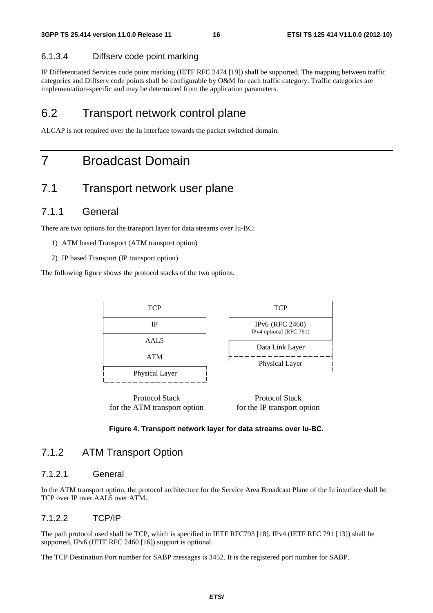#### 6.1.3.4 Diffserv code point marking

IP Differentiated Services code point marking (IETF RFC 2474 [19]) shall be supported. The mapping between traffic categories and Diffserv code points shall be configurable by O&M for each traffic category. Traffic categories are implementation-specific and may be determined from the application parameters.

### 6.2 Transport network control plane

ALCAP is not required over the Iu interface towards the packet switched domain.

# 7 Broadcast Domain

### 7.1 Transport network user plane

### 7.1.1 General

There are two options for the transport layer for data streams over Iu-BC:

- 1) ATM based Transport (ATM transport option)
- 2) IP based Transport (IP transport option)

The following figure shows the protocol stacks of the two options.



Protocol Stack for the ATM transport option

Protocol Stack for the IP transport option

#### **Figure 4. Transport network layer for data streams over Iu-BC.**

### 7.1.2 ATM Transport Option

#### 7.1.2.1 General

In the ATM transport option, the protocol architecture for the Service Area Broadcast Plane of the Iu interface shall be TCP over IP over AAL5 over ATM.

#### 7.1.2.2 TCP/IP

The path protocol used shall be TCP, which is specified in IETF RFC793 [18]. IPv4 (IETF RFC 791 [13]) shall be supported, IPv6 (IETF RFC 2460 [16]) support is optional.

The TCP Destination Port number for SABP messages is 3452. It is the registered port number for SABP.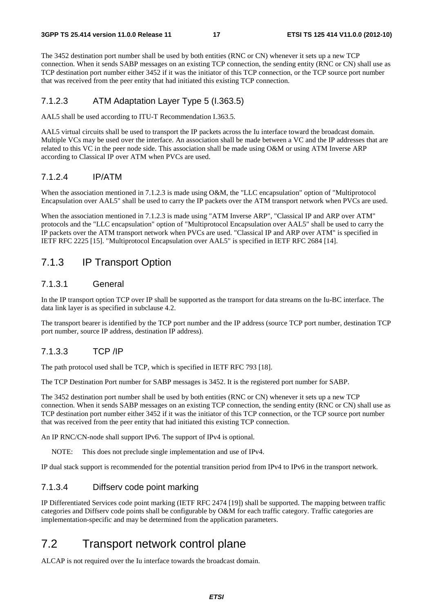#### **3GPP TS 25.414 version 11.0.0 Release 11 17 ETSI TS 125 414 V11.0.0 (2012-10)**

The 3452 destination port number shall be used by both entities (RNC or CN) whenever it sets up a new TCP connection. When it sends SABP messages on an existing TCP connection, the sending entity (RNC or CN) shall use as TCP destination port number either 3452 if it was the initiator of this TCP connection, or the TCP source port number that was received from the peer entity that had initiated this existing TCP connection.

#### 7.1.2.3 ATM Adaptation Layer Type 5 (I.363.5)

AAL5 shall be used according to ITU-T Recommendation I.363.5.

AAL5 virtual circuits shall be used to transport the IP packets across the Iu interface toward the broadcast domain. Multiple VCs may be used over the interface. An association shall be made between a VC and the IP addresses that are related to this VC in the peer node side. This association shall be made using O&M or using ATM Inverse ARP according to Classical IP over ATM when PVCs are used.

#### 7.1.2.4 IP/ATM

When the association mentioned in 7.1.2.3 is made using O&M, the "LLC encapsulation" option of "Multiprotocol" Encapsulation over AAL5" shall be used to carry the IP packets over the ATM transport network when PVCs are used.

When the association mentioned in 7.1.2.3 is made using "ATM Inverse ARP", "Classical IP and ARP over ATM" protocols and the "LLC encapsulation" option of "Multiprotocol Encapsulation over AAL5" shall be used to carry the IP packets over the ATM transport network when PVCs are used. "Classical IP and ARP over ATM" is specified in IETF RFC 2225 [15]. "Multiprotocol Encapsulation over AAL5" is specified in IETF RFC 2684 [14].

### 7.1.3 IP Transport Option

#### 7.1.3.1 General

In the IP transport option TCP over IP shall be supported as the transport for data streams on the Iu-BC interface. The data link layer is as specified in subclause 4.2.

The transport bearer is identified by the TCP port number and the IP address (source TCP port number, destination TCP port number, source IP address, destination IP address).

### 7.1.3.3 TCP /IP

The path protocol used shall be TCP, which is specified in IETF RFC 793 [18].

The TCP Destination Port number for SABP messages is 3452. It is the registered port number for SABP.

The 3452 destination port number shall be used by both entities (RNC or CN) whenever it sets up a new TCP connection. When it sends SABP messages on an existing TCP connection, the sending entity (RNC or CN) shall use as TCP destination port number either 3452 if it was the initiator of this TCP connection, or the TCP source port number that was received from the peer entity that had initiated this existing TCP connection.

An IP RNC/CN-node shall support IPv6. The support of IPv4 is optional.

NOTE: This does not preclude single implementation and use of IPv4.

IP dual stack support is recommended for the potential transition period from IPv4 to IPv6 in the transport network.

#### 7.1.3.4 Diffserv code point marking

IP Differentiated Services code point marking (IETF RFC 2474 [19]) shall be supported. The mapping between traffic categories and Diffserv code points shall be configurable by O&M for each traffic category. Traffic categories are implementation-specific and may be determined from the application parameters.

# 7.2 Transport network control plane

ALCAP is not required over the Iu interface towards the broadcast domain.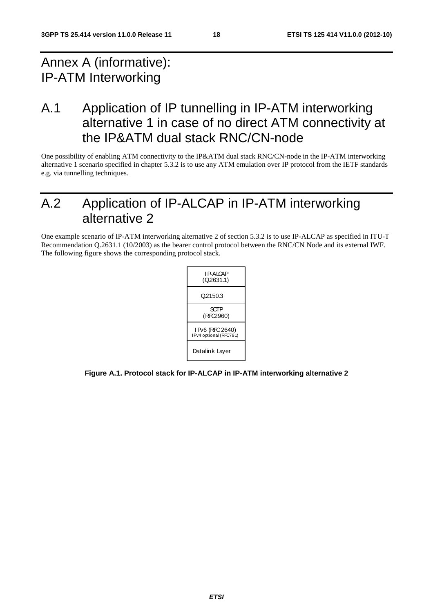# Annex A (informative): IP-ATM Interworking

A.1 Application of IP tunnelling in IP-ATM interworking alternative 1 in case of no direct ATM connectivity at the IP&ATM dual stack RNC/CN-node

One possibility of enabling ATM connectivity to the IP&ATM dual stack RNC/CN-node in the IP-ATM interworking alternative 1 scenario specified in chapter 5.3.2 is to use any ATM emulation over IP protocol from the IETF standards e.g. via tunnelling techniques.

# A.2 Application of IP-ALCAP in IP-ATM interworking alternative 2

One example scenario of IP-ATM interworking alternative 2 of section 5.3.2 is to use IP-ALCAP as specified in ITU-T Recommendation Q.2631.1 (10/2003) as the bearer control protocol between the RNC/CN Node and its external IWF. The following figure shows the corresponding protocol stack.



**Figure A.1. Protocol stack for IP-ALCAP in IP-ATM interworking alternative 2**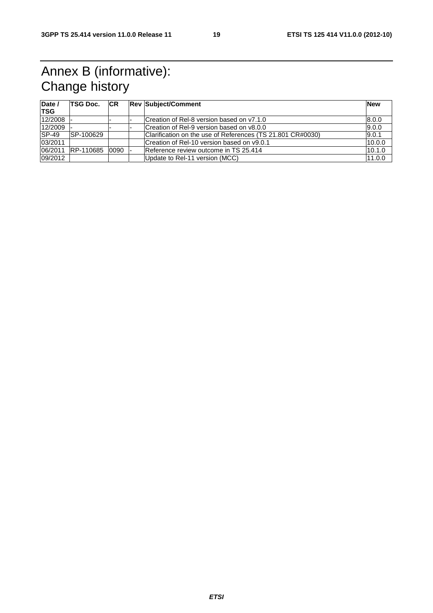# Annex B (informative): Change history

| Date /<br><b>TSG</b> | <b>TSG Doc.</b> | CR | <b>Rev Subject/Comment</b>                                 | <b>New</b> |
|----------------------|-----------------|----|------------------------------------------------------------|------------|
| 12/2008              |                 |    | Creation of Rel-8 version based on y7.1.0                  | 8.0.0      |
| 12/2009              |                 |    | Creation of Rel-9 version based on v8.0.0                  | 9.0.0      |
| $ SP-49 $            | SP-100629       |    | Clarification on the use of References (TS 21.801 CR#0030) | 9.0.1      |
| 03/2011              |                 |    | Creation of Rel-10 version based on v9.0.1                 | 10.0.0     |
| 06/2011              | RP-110685 0090  |    | Reference review outcome in TS 25.414                      | 10.1.0     |
| 09/2012              |                 |    | Update to Rel-11 version (MCC)                             | 11.0.0     |